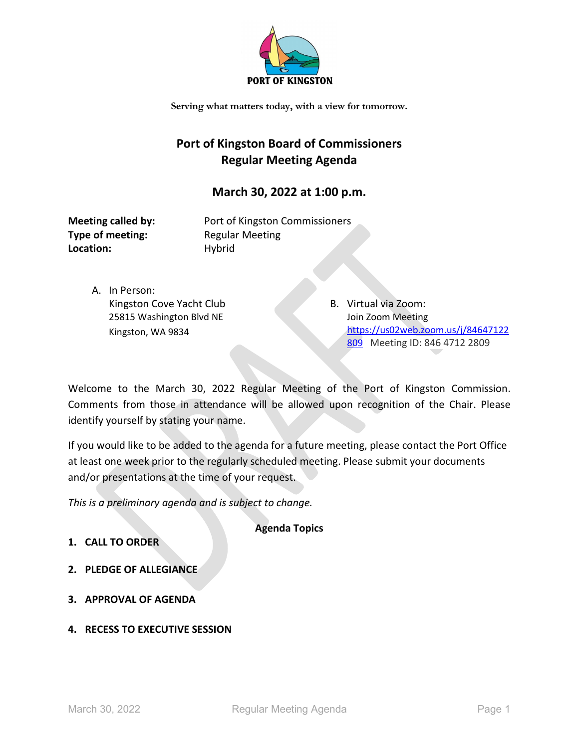

**Serving what matters today, with a view for tomorrow.**

# **Port of Kingston Board of Commissioners Regular Meeting Agenda**

## **March 30, 2022 at 1:00 p.m.**

**Type of meeting:** Regular Meeting Location: Hybrid

**Meeting called by:** Port of Kingston Commissioners

A. In Person: Kingston Cove Yacht Club 25815 Washington Blvd NE Kingston, WA 9834

B. Virtual via Zoom: Join Zoom Meeting [https://us02web.zoom.us/j/84647122](https://us02web.zoom.us/j/84647122809) [809](https://us02web.zoom.us/j/84647122809) Meeting ID: 846 4712 2809

Welcome to the March 30, 2022 Regular Meeting of the Port of Kingston Commission. Comments from those in attendance will be allowed upon recognition of the Chair. Please identify yourself by stating your name.

If you would like to be added to the agenda for a future meeting, please contact the Port Office at least one week prior to the regularly scheduled meeting. Please submit your documents and/or presentations at the time of your request.

*This is a preliminary agenda and is subject to change.*

**Agenda Topics**

- **1. CALL TO ORDER**
- **2. PLEDGE OF ALLEGIANCE**
- **3. APPROVAL OF AGENDA**
- **4. RECESS TO EXECUTIVE SESSION**